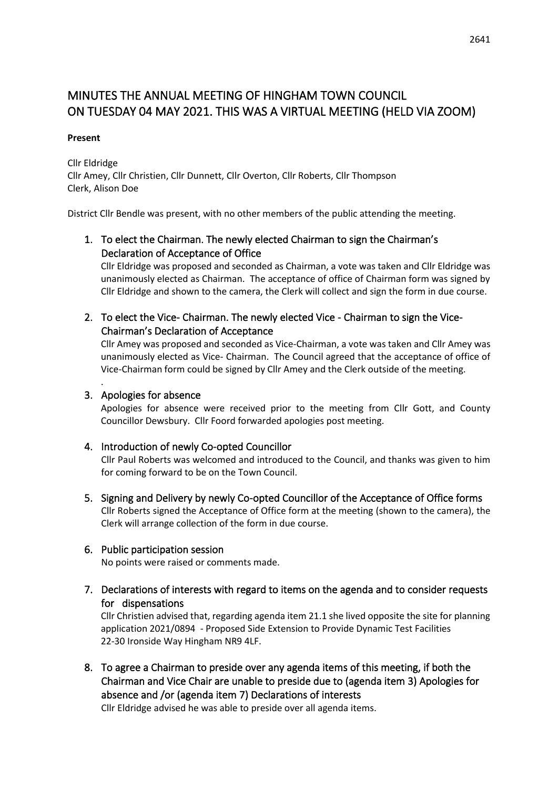# MINUTES THE ANNUAL MEETING OF HINGHAM TOWN COUNCIL ON TUESDAY 04 MAY 2021. THIS WAS A VIRTUAL MEETING (HELD VIA ZOOM)

#### **Present**

Cllr Eldridge Cllr Amey, Cllr Christien, Cllr Dunnett, Cllr Overton, Cllr Roberts, Cllr Thompson Clerk, Alison Doe

District Cllr Bendle was present, with no other members of the public attending the meeting.

# 1. To elect the Chairman. The newly elected Chairman to sign the Chairman's Declaration of Acceptance of Office

Cllr Eldridge was proposed and seconded as Chairman, a vote was taken and Cllr Eldridge was unanimously elected as Chairman. The acceptance of office of Chairman form was signed by Cllr Eldridge and shown to the camera, the Clerk will collect and sign the form in due course.

2. To elect the Vice- Chairman. The newly elected Vice - Chairman to sign the Vice-Chairman's Declaration of Acceptance

Cllr Amey was proposed and seconded as Vice-Chairman, a vote was taken and Cllr Amey was unanimously elected as Vice- Chairman. The Council agreed that the acceptance of office of Vice-Chairman form could be signed by Cllr Amey and the Clerk outside of the meeting.

## 3. Apologies for absence

.

Apologies for absence were received prior to the meeting from Cllr Gott, and County Councillor Dewsbury. Cllr Foord forwarded apologies post meeting.

### 4. Introduction of newly Co-opted Councillor

Cllr Paul Roberts was welcomed and introduced to the Council, and thanks was given to him for coming forward to be on the Town Council.

5. Signing and Delivery by newly Co-opted Councillor of the Acceptance of Office forms Cllr Roberts signed the Acceptance of Office form at the meeting (shown to the camera), the Clerk will arrange collection of the form in due course.

### 6. Public participation session

No points were raised or comments made.

7. Declarations of interests with regard to items on the agenda and to consider requests for dispensations

Cllr Christien advised that, regarding agenda item 21.1 she lived opposite the site for planning application 2021/0894 - Proposed Side Extension to Provide Dynamic Test Facilities 22-30 Ironside Way Hingham NR9 4LF.

8. To agree a Chairman to preside over any agenda items of this meeting, if both the Chairman and Vice Chair are unable to preside due to (agenda item 3) Apologies for absence and /or (agenda item 7) Declarations of interests

Cllr Eldridge advised he was able to preside over all agenda items.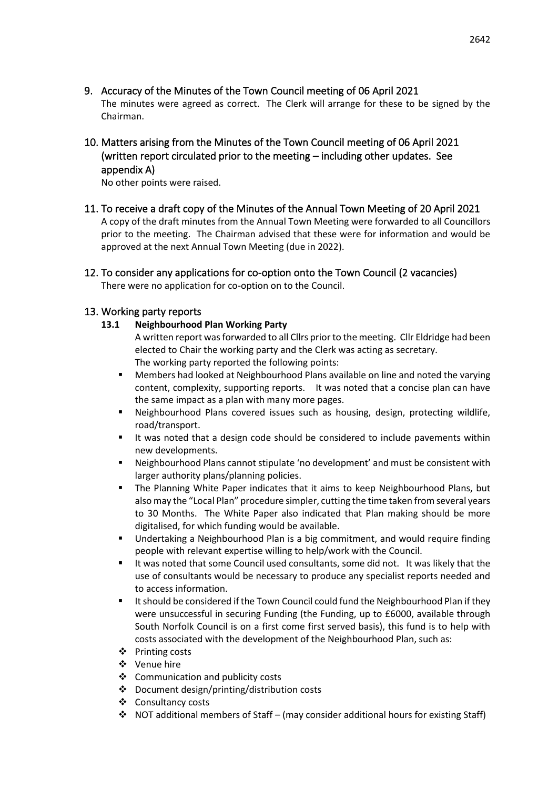- 9. Accuracy of the Minutes of the Town Council meeting of 06 April 2021 The minutes were agreed as correct. The Clerk will arrange for these to be signed by the Chairman.
- 10. Matters arising from the Minutes of the Town Council meeting of 06 April 2021 (written report circulated prior to the meeting – including other updates. See appendix A)

No other points were raised.

- 11. To receive a draft copy of the Minutes of the Annual Town Meeting of 20 April 2021 A copy of the draft minutes from the Annual Town Meeting were forwarded to all Councillors prior to the meeting. The Chairman advised that these were for information and would be approved at the next Annual Town Meeting (due in 2022).
- 12. To consider any applications for co-option onto the Town Council (2 vacancies) There were no application for co-option on to the Council.

### 13. Working party reports

- **13.1 Neighbourhood Plan Working Party** 
	- A written report was forwarded to all Cllrs prior to the meeting. Cllr Eldridge had been elected to Chair the working party and the Clerk was acting as secretary. The working party reported the following points:
	- Members had looked at Neighbourhood Plans available on line and noted the varying content, complexity, supporting reports. It was noted that a concise plan can have the same impact as a plan with many more pages.
	- **E** Neighbourhood Plans covered issues such as housing, design, protecting wildlife, road/transport.
	- It was noted that a design code should be considered to include pavements within new developments.
	- Neighbourhood Plans cannot stipulate 'no development' and must be consistent with larger authority plans/planning policies.
	- The Planning White Paper indicates that it aims to keep Neighbourhood Plans, but also may the "Local Plan" procedure simpler, cutting the time taken from several years to 30 Months. The White Paper also indicated that Plan making should be more digitalised, for which funding would be available.
	- Undertaking a Neighbourhood Plan is a big commitment, and would require finding people with relevant expertise willing to help/work with the Council.
	- It was noted that some Council used consultants, some did not. It was likely that the use of consultants would be necessary to produce any specialist reports needed and to access information.
	- It should be considered if the Town Council could fund the Neighbourhood Plan if they were unsuccessful in securing Funding (the Funding, up to £6000, available through South Norfolk Council is on a first come first served basis), this fund is to help with costs associated with the development of the Neighbourhood Plan, such as:
	- ❖ Printing costs
	- ❖ Venue hire
	- ❖ Communication and publicity costs
	- ❖ Document design/printing/distribution costs
	- ❖ Consultancy costs
	- $\div$  NOT additional members of Staff (may consider additional hours for existing Staff)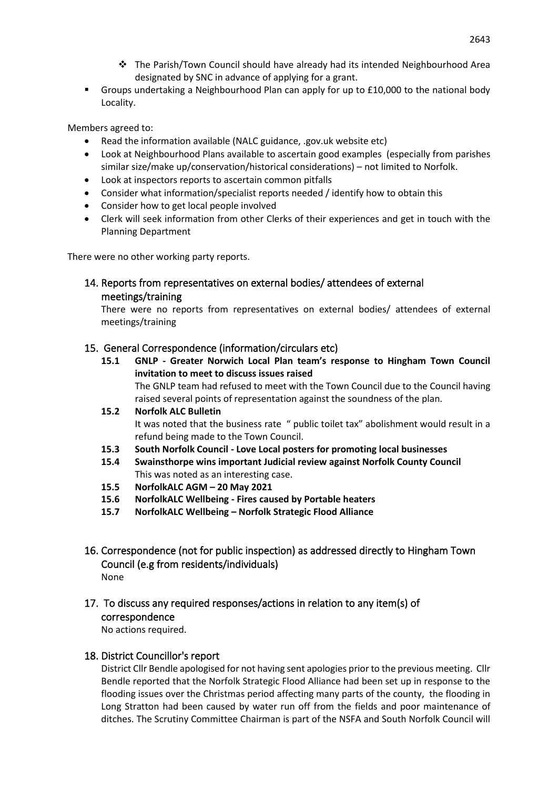- ❖ The Parish/Town Council should have already had its intended Neighbourhood Area designated by SNC in advance of applying for a grant.
- Groups undertaking a Neighbourhood Plan can apply for up to £10,000 to the national body Locality.

Members agreed to:

- Read the information available (NALC guidance, .gov.uk website etc)
- Look at Neighbourhood Plans available to ascertain good examples (especially from parishes similar size/make up/conservation/historical considerations) – not limited to Norfolk.
- Look at inspectors reports to ascertain common pitfalls
- Consider what information/specialist reports needed / identify how to obtain this
- Consider how to get local people involved
- Clerk will seek information from other Clerks of their experiences and get in touch with the Planning Department

There were no other working party reports.

14. Reports from representatives on external bodies/ attendees of external meetings/training

There were no reports from representatives on external bodies/ attendees of external meetings/training

#### 15. General Correspondence (information/circulars etc)

**15.1 GNLP - Greater Norwich Local Plan team's response to Hingham Town Council invitation to meet to discuss issues raised** The GNLP team had refused to meet with the Town Council due to the Council having

raised several points of representation against the soundness of the plan.

- **15.2 Norfolk ALC Bulletin** It was noted that the business rate " public toilet tax" abolishment would result in a refund being made to the Town Council.
- **15.3 South Norfolk Council - Love Local posters for promoting local businesses**
- **15.4 Swainsthorpe wins important Judicial review against Norfolk County Council** This was noted as an interesting case.
- **15.5 NorfolkALC AGM – 20 May 2021**
- **15.6 NorfolkALC Wellbeing - Fires caused by Portable heaters**
- **15.7 NorfolkALC Wellbeing – Norfolk Strategic Flood Alliance**
- 16. Correspondence (not for public inspection) as addressed directly to Hingham Town Council (e.g from residents/individuals) None
- 17. To discuss any required responses/actions in relation to any item(s) of correspondence

No actions required.

#### 18. District Councillor's report

District Cllr Bendle apologised for not having sent apologies prior to the previous meeting. Cllr Bendle reported that the Norfolk Strategic Flood Alliance had been set up in response to the flooding issues over the Christmas period affecting many parts of the county, the flooding in Long Stratton had been caused by water run off from the fields and poor maintenance of ditches. The Scrutiny Committee Chairman is part of the NSFA and South Norfolk Council will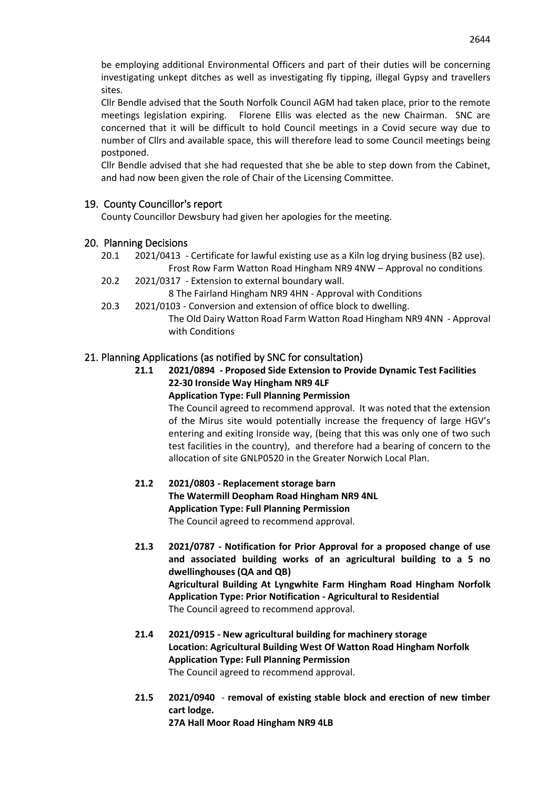be employing additional Environmental Officers and part of their duties will be concerning investigating unkept ditches as well as investigating fly tipping, illegal Gypsy and travellers sites.

Cllr Bendle advised that the South Norfolk Council AGM had taken place, prior to the remote meetings legislation expiring. Florene Ellis was elected as the new Chairman. SNC are concerned that it will be difficult to hold Council meetings in a Covid secure way due to number of Cllrs and available space, this will therefore lead to some Council meetings being postponed.

Cllr Bendle advised that she had requested that she be able to step down from the Cabinet, and had now been given the role of Chair of the Licensing Committee.

# 19. County Councillor's report

County Councillor Dewsbury had given her apologies for the meeting.

### 20. Planning Decisions

- 20.1 2021/0413 Certificate for lawful existing use as a Kiln log drying business (B2 use). Frost Row Farm Watton Road Hingham NR9 4NW – Approval no conditions
- 20.2 2021/0317 Extension to external boundary wall.
	- 8 The Fairland Hingham NR9 4HN Approval with Conditions
- 20.3 2021/0103 Conversion and extension of office block to dwelling. The Old Dairy Watton Road Farm Watton Road Hingham NR9 4NN - Approval with Conditions

# 21. Planning Applications (as notified by SNC for consultation)

**21.1 2021/0894 - Proposed Side Extension to Provide Dynamic Test Facilities 22-30 Ironside Way Hingham NR9 4LF**

**Application Type: Full Planning Permission**

The Council agreed to recommend approval. It was noted that the extension of the Mirus site would potentially increase the frequency of large HGV's entering and exiting Ironside way, (being that this was only one of two such test facilities in the country), and therefore had a bearing of concern to the allocation of site GNLP0520 in the Greater Norwich Local Plan.

#### **21.2 2021/0803 - Replacement storage barn The Watermill Deopham Road Hingham NR9 4NL Application Type: Full Planning Permission** The Council agreed to recommend approval.

- **21.3 2021/0787 - Notification for Prior Approval for a proposed change of use and associated building works of an agricultural building to a 5 no dwellinghouses (QA and QB) Agricultural Building At Lyngwhite Farm Hingham Road Hingham Norfolk Application Type: Prior Notification - Agricultural to Residential** The Council agreed to recommend approval.
- **21.4 2021/0915 - New agricultural building for machinery storage Location: Agricultural Building West Of Watton Road Hingham Norfolk Application Type: Full Planning Permission** The Council agreed to recommend approval.
- **21.5 2021/0940 removal of existing stable block and erection of new timber cart lodge. 27A Hall Moor Road Hingham NR9 4LB**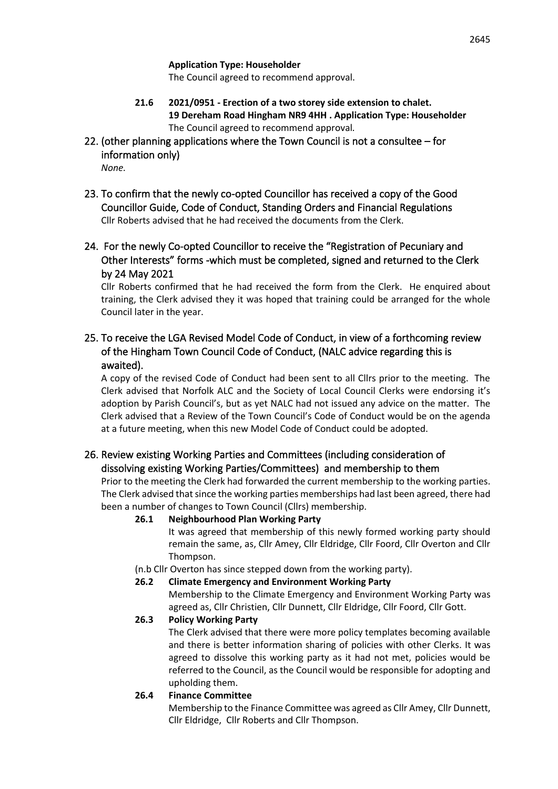**Application Type: Householder**

The Council agreed to recommend approval.

**21.6 2021/0951 - Erection of a two storey side extension to chalet. 19 Dereham Road Hingham NR9 4HH . Application Type: Householder** The Council agreed to recommend approval*.*

# 22. (other planning applications where the Town Council is not a consultee – for information only)

*None.*

- 23. To confirm that the newly co-opted Councillor has received a copy of the Good Councillor Guide, Code of Conduct, Standing Orders and Financial Regulations Cllr Roberts advised that he had received the documents from the Clerk.
- 24. For the newly Co-opted Councillor to receive the "Registration of Pecuniary and Other Interests" forms -which must be completed, signed and returned to the Clerk by 24 May 2021

Cllr Roberts confirmed that he had received the form from the Clerk. He enquired about training, the Clerk advised they it was hoped that training could be arranged for the whole Council later in the year.

# 25. To receive the LGA Revised Model Code of Conduct, in view of a forthcoming review of the Hingham Town Council Code of Conduct, (NALC advice regarding this is awaited).

A copy of the revised Code of Conduct had been sent to all Cllrs prior to the meeting. The Clerk advised that Norfolk ALC and the Society of Local Council Clerks were endorsing it's adoption by Parish Council's, but as yet NALC had not issued any advice on the matter. The Clerk advised that a Review of the Town Council's Code of Conduct would be on the agenda at a future meeting, when this new Model Code of Conduct could be adopted.

# 26. Review existing Working Parties and Committees (including consideration of dissolving existing Working Parties/Committees) and membership to them

Prior to the meeting the Clerk had forwarded the current membership to the working parties. The Clerk advised that since the working parties memberships had last been agreed, there had been a number of changes to Town Council (Cllrs) membership.

# **26.1 Neighbourhood Plan Working Party**

It was agreed that membership of this newly formed working party should remain the same, as, Cllr Amey, Cllr Eldridge, Cllr Foord, Cllr Overton and Cllr Thompson.

(n.b Cllr Overton has since stepped down from the working party).

# **26.2 Climate Emergency and Environment Working Party**

Membership to the Climate Emergency and Environment Working Party was agreed as, Cllr Christien, Cllr Dunnett, Cllr Eldridge, Cllr Foord, Cllr Gott.

# **26.3 Policy Working Party**

The Clerk advised that there were more policy templates becoming available and there is better information sharing of policies with other Clerks. It was agreed to dissolve this working party as it had not met, policies would be referred to the Council, as the Council would be responsible for adopting and upholding them.

# **26.4 Finance Committee**

Membership to the Finance Committee was agreed as Cllr Amey, Cllr Dunnett, Cllr Eldridge, Cllr Roberts and Cllr Thompson.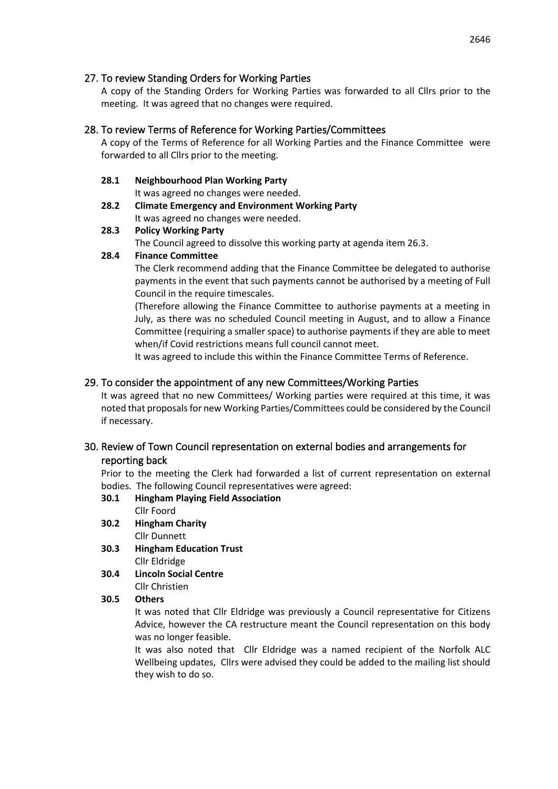## 27. To review Standing Orders for Working Parties

A copy of the Standing Orders for Working Parties was forwarded to all Cllrs prior to the meeting. It was agreed that no changes were required.

# 28. To review Terms of Reference for Working Parties/Committees

A copy of the Terms of Reference for all Working Parties and the Finance Committee were forwarded to all Cllrs prior to the meeting.

### **28.1 Neighbourhood Plan Working Party**

It was agreed no changes were needed.

**28.2 Climate Emergency and Environment Working Party** It was agreed no changes were needed.

# **28.3 Policy Working Party**

The Council agreed to dissolve this working party at agenda item 26.3.

# **28.4 Finance Committee**

The Clerk recommend adding that the Finance Committee be delegated to authorise payments in the event that such payments cannot be authorised by a meeting of Full Council in the require timescales.

(Therefore allowing the Finance Committee to authorise payments at a meeting in July, as there was no scheduled Council meeting in August, and to allow a Finance Committee (requiring a smaller space) to authorise payments if they are able to meet when/if Covid restrictions means full council cannot meet.

It was agreed to include this within the Finance Committee Terms of Reference.

# 29. To consider the appointment of any new Committees/Working Parties

It was agreed that no new Committees/ Working parties were required at this time, it was noted that proposals for new Working Parties/Committees could be considered by the Council if necessary.

# 30. Review of Town Council representation on external bodies and arrangements for reporting back

Prior to the meeting the Clerk had forwarded a list of current representation on external bodies. The following Council representatives were agreed:

- **30.1 Hingham Playing Field Association** Cllr Foord
- **30.2 Hingham Charity** Cllr Dunnett
- **30.3 Hingham Education Trust** Cllr Eldridge
- **30.4 Lincoln Social Centre**  Cllr Christien

### **30.5 Others**

It was noted that Cllr Eldridge was previously a Council representative for Citizens Advice, however the CA restructure meant the Council representation on this body was no longer feasible.

It was also noted that Cllr Eldridge was a named recipient of the Norfolk ALC Wellbeing updates, Cllrs were advised they could be added to the mailing list should they wish to do so.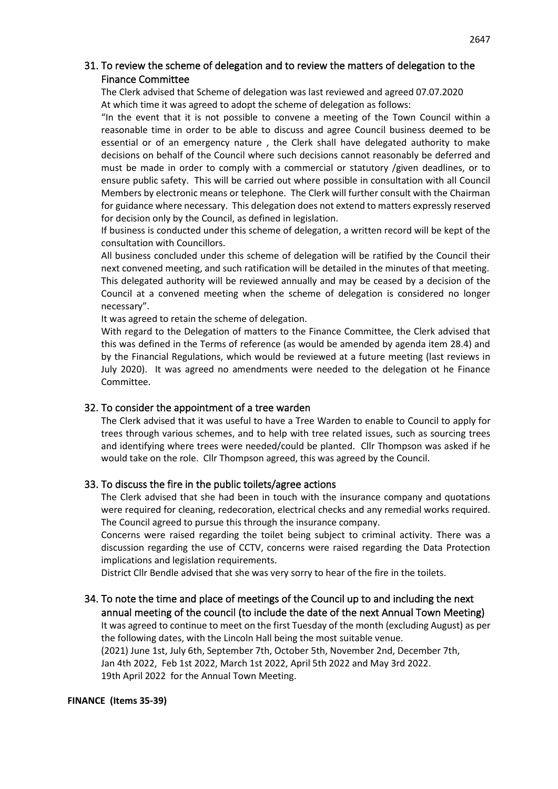# 31. To review the scheme of delegation and to review the matters of delegation to the Finance Committee

The Clerk advised that Scheme of delegation was last reviewed and agreed 07.07.2020 At which time it was agreed to adopt the scheme of delegation as follows:

"In the event that it is not possible to convene a meeting of the Town Council within a reasonable time in order to be able to discuss and agree Council business deemed to be essential or of an emergency nature , the Clerk shall have delegated authority to make decisions on behalf of the Council where such decisions cannot reasonably be deferred and must be made in order to comply with a commercial or statutory /given deadlines, or to ensure public safety. This will be carried out where possible in consultation with all Council Members by electronic means or telephone. The Clerk will further consult with the Chairman for guidance where necessary. This delegation does not extend to matters expressly reserved for decision only by the Council, as defined in legislation.

If business is conducted under this scheme of delegation, a written record will be kept of the consultation with Councillors.

All business concluded under this scheme of delegation will be ratified by the Council their next convened meeting, and such ratification will be detailed in the minutes of that meeting. This delegated authority will be reviewed annually and may be ceased by a decision of the Council at a convened meeting when the scheme of delegation is considered no longer necessary".

It was agreed to retain the scheme of delegation.

With regard to the Delegation of matters to the Finance Committee, the Clerk advised that this was defined in the Terms of reference (as would be amended by agenda item 28.4) and by the Financial Regulations, which would be reviewed at a future meeting (last reviews in July 2020). It was agreed no amendments were needed to the delegation ot he Finance Committee.

#### 32. To consider the appointment of a tree warden

The Clerk advised that it was useful to have a Tree Warden to enable to Council to apply for trees through various schemes, and to help with tree related issues, such as sourcing trees and identifying where trees were needed/could be planted. Cllr Thompson was asked if he would take on the role. Cllr Thompson agreed, this was agreed by the Council.

#### 33. To discuss the fire in the public toilets/agree actions

The Clerk advised that she had been in touch with the insurance company and quotations were required for cleaning, redecoration, electrical checks and any remedial works required. The Council agreed to pursue this through the insurance company.

Concerns were raised regarding the toilet being subject to criminal activity. There was a discussion regarding the use of CCTV, concerns were raised regarding the Data Protection implications and legislation requirements.

District Cllr Bendle advised that she was very sorry to hear of the fire in the toilets.

# 34. To note the time and place of meetings of the Council up to and including the next annual meeting of the council (to include the date of the next Annual Town Meeting)

It was agreed to continue to meet on the first Tuesday of the month (excluding August) as per the following dates, with the Lincoln Hall being the most suitable venue.

(2021) June 1st, July 6th, September 7th, October 5th, November 2nd, December 7th, Jan 4th 2022, Feb 1st 2022, March 1st 2022, April 5th 2022 and May 3rd 2022. 19th April 2022 for the Annual Town Meeting.

#### **FINANCE (Items 35-39)**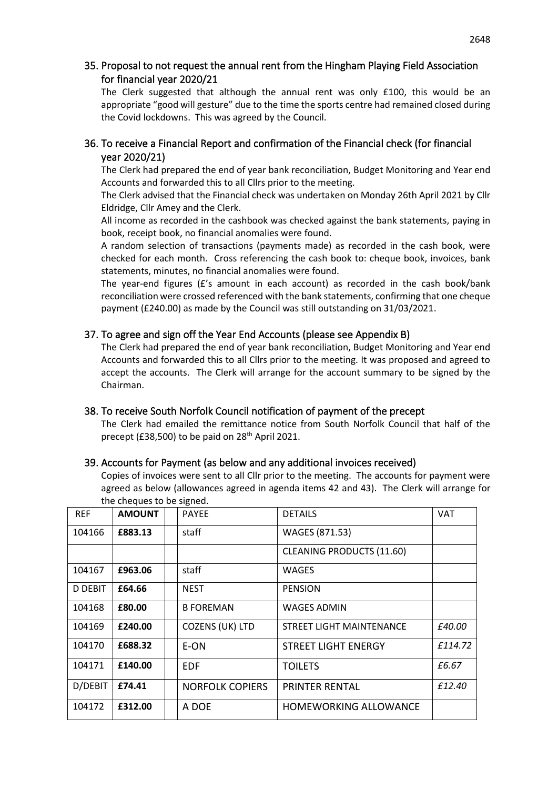# 35. Proposal to not request the annual rent from the Hingham Playing Field Association for financial year 2020/21

The Clerk suggested that although the annual rent was only £100, this would be an appropriate "good will gesture" due to the time the sports centre had remained closed during the Covid lockdowns. This was agreed by the Council.

# 36. To receive a Financial Report and confirmation of the Financial check (for financial year 2020/21)

The Clerk had prepared the end of year bank reconciliation, Budget Monitoring and Year end Accounts and forwarded this to all Cllrs prior to the meeting.

The Clerk advised that the Financial check was undertaken on Monday 26th April 2021 by Cllr Eldridge, Cllr Amey and the Clerk.

All income as recorded in the cashbook was checked against the bank statements, paying in book, receipt book, no financial anomalies were found.

A random selection of transactions (payments made) as recorded in the cash book, were checked for each month. Cross referencing the cash book to: cheque book, invoices, bank statements, minutes, no financial anomalies were found.

The year-end figures  $(f')$  amount in each account) as recorded in the cash book/bank reconciliation were crossed referenced with the bank statements, confirming that one cheque payment (£240.00) as made by the Council was still outstanding on 31/03/2021.

# 37. To agree and sign off the Year End Accounts (please see Appendix B)

The Clerk had prepared the end of year bank reconciliation, Budget Monitoring and Year end Accounts and forwarded this to all Cllrs prior to the meeting. It was proposed and agreed to accept the accounts. The Clerk will arrange for the account summary to be signed by the Chairman.

### 38. To receive South Norfolk Council notification of payment of the precept

The Clerk had emailed the remittance notice from South Norfolk Council that half of the precept (£38,500) to be paid on 28th April 2021.

### 39. Accounts for Payment (as below and any additional invoices received)

Copies of invoices were sent to all Cllr prior to the meeting. The accounts for payment were agreed as below (allowances agreed in agenda items 42 and 43). The Clerk will arrange for the cheques to be signed.

| <b>REF</b>     | <b>AMOUNT</b> | <b>PAYEE</b>           | <b>DETAILS</b>                   | VAT     |
|----------------|---------------|------------------------|----------------------------------|---------|
| 104166         | £883.13       | staff                  | WAGES (871.53)                   |         |
|                |               |                        | <b>CLEANING PRODUCTS (11.60)</b> |         |
| 104167         | £963.06       | staff                  | <b>WAGES</b>                     |         |
| <b>D DEBIT</b> | £64.66        | <b>NEST</b>            | <b>PENSION</b>                   |         |
| 104168         | £80.00        | <b>B FOREMAN</b>       | <b>WAGES ADMIN</b>               |         |
| 104169         | £240.00       | <b>COZENS (UK) LTD</b> | STREET LIGHT MAINTENANCE         | £40.00  |
| 104170         | £688.32       | E-ON                   | <b>STREET LIGHT ENERGY</b>       | £114.72 |
| 104171         | £140.00       | EDF                    | <b>TOILETS</b>                   | £6.67   |
| D/DEBIT        | £74.41        | <b>NORFOLK COPIERS</b> | <b>PRINTER RENTAL</b>            | £12.40  |
| 104172         | £312.00       | A DOE                  | <b>HOMEWORKING ALLOWANCE</b>     |         |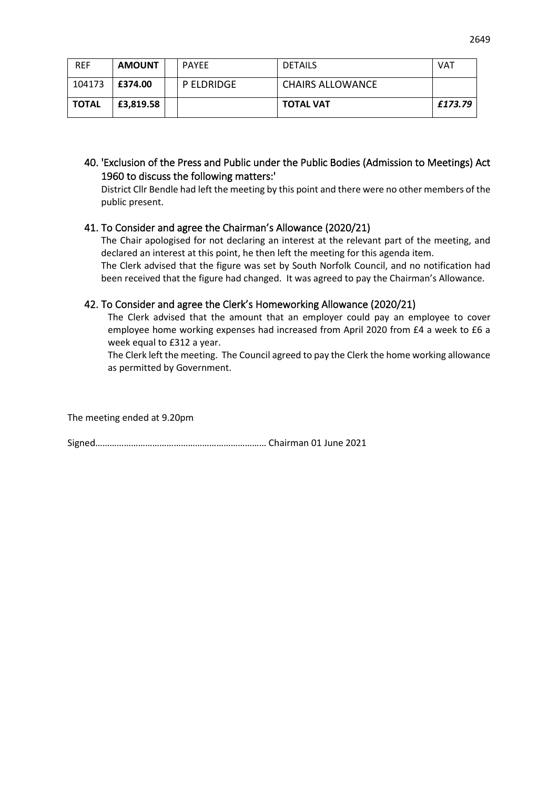| <b>REF</b>   | <b>AMOUNT</b> | <b>PAYEE</b> | <b>DETAILS</b>   | VAT     |
|--------------|---------------|--------------|------------------|---------|
| 104173       | l £374.00     | P ELDRIDGE   | CHAIRS ALLOWANCE |         |
| <b>TOTAL</b> | £3,819.58     |              | <b>TOTAL VAT</b> | £173.79 |

40. 'Exclusion of the Press and Public under the Public Bodies (Admission to Meetings) Act 1960 to discuss the following matters:'

District Cllr Bendle had left the meeting by this point and there were no other members of the public present.

### 41. To Consider and agree the Chairman's Allowance (2020/21)

The Chair apologised for not declaring an interest at the relevant part of the meeting, and declared an interest at this point, he then left the meeting for this agenda item.

The Clerk advised that the figure was set by South Norfolk Council, and no notification had been received that the figure had changed. It was agreed to pay the Chairman's Allowance.

# 42. To Consider and agree the Clerk's Homeworking Allowance (2020/21)

The Clerk advised that the amount that an employer could pay an employee to cover employee home working expenses had increased from April 2020 from £4 a week to £6 a week equal to £312 a year.

The Clerk left the meeting. The Council agreed to pay the Clerk the home working allowance as permitted by Government.

The meeting ended at 9.20pm

Signed……………………………………………………………… Chairman 01 June 2021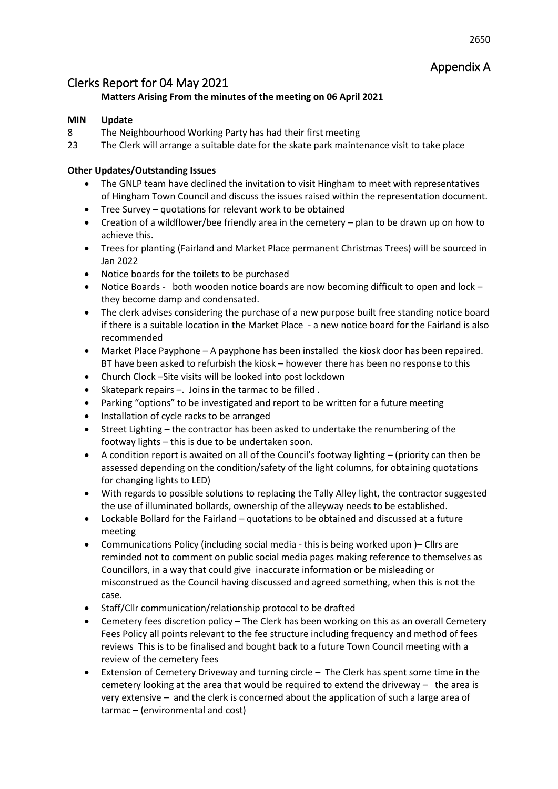# Appendix A

# Clerks Report for 04 May 2021

# **Matters Arising From the minutes of the meeting on 06 April 2021**

## **MIN Update**

- 8 The Neighbourhood Working Party has had their first meeting
- 23 The Clerk will arrange a suitable date for the skate park maintenance visit to take place

# **Other Updates/Outstanding Issues**

- The GNLP team have declined the invitation to visit Hingham to meet with representatives of Hingham Town Council and discuss the issues raised within the representation document.
- Tree Survey quotations for relevant work to be obtained
- Creation of a wildflower/bee friendly area in the cemetery plan to be drawn up on how to achieve this.
- Trees for planting (Fairland and Market Place permanent Christmas Trees) will be sourced in Jan 2022
- Notice boards for the toilets to be purchased
- Notice Boards both wooden notice boards are now becoming difficult to open and lock they become damp and condensated.
- The clerk advises considering the purchase of a new purpose built free standing notice board if there is a suitable location in the Market Place - a new notice board for the Fairland is also recommended
- Market Place Payphone A payphone has been installed the kiosk door has been repaired. BT have been asked to refurbish the kiosk – however there has been no response to this
- Church Clock –Site visits will be looked into post lockdown
- Skatepark repairs –. Joins in the tarmac to be filled .
- Parking "options" to be investigated and report to be written for a future meeting
- Installation of cycle racks to be arranged
- Street Lighting the contractor has been asked to undertake the renumbering of the footway lights – this is due to be undertaken soon.
- A condition report is awaited on all of the Council's footway lighting (priority can then be assessed depending on the condition/safety of the light columns, for obtaining quotations for changing lights to LED)
- With regards to possible solutions to replacing the Tally Alley light, the contractor suggested the use of illuminated bollards, ownership of the alleyway needs to be established.
- Lockable Bollard for the Fairland quotations to be obtained and discussed at a future meeting
- Communications Policy (including social media this is being worked upon )– Cllrs are reminded not to comment on public social media pages making reference to themselves as Councillors, in a way that could give inaccurate information or be misleading or misconstrued as the Council having discussed and agreed something, when this is not the case.
- Staff/Cllr communication/relationship protocol to be drafted
- Cemetery fees discretion policy The Clerk has been working on this as an overall Cemetery Fees Policy all points relevant to the fee structure including frequency and method of fees reviews This is to be finalised and bought back to a future Town Council meeting with a review of the cemetery fees
- Extension of Cemetery Driveway and turning circle The Clerk has spent some time in the cemetery looking at the area that would be required to extend the driveway – the area is very extensive – and the clerk is concerned about the application of such a large area of tarmac – (environmental and cost)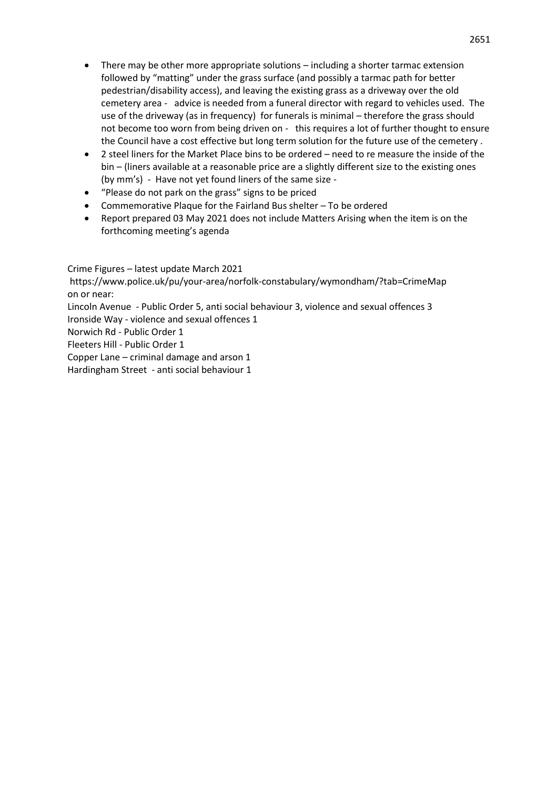- There may be other more appropriate solutions  $-$  including a shorter tarmac extension followed by "matting" under the grass surface (and possibly a tarmac path for better pedestrian/disability access), and leaving the existing grass as a driveway over the old cemetery area - advice is needed from a funeral director with regard to vehicles used. The use of the driveway (as in frequency) for funerals is minimal – therefore the grass should not become too worn from being driven on - this requires a lot of further thought to ensure the Council have a cost effective but long term solution for the future use of the cemetery .
- 2 steel liners for the Market Place bins to be ordered need to re measure the inside of the bin – (liners available at a reasonable price are a slightly different size to the existing ones (by mm's) - Have not yet found liners of the same size -
- "Please do not park on the grass" signs to be priced
- Commemorative Plaque for the Fairland Bus shelter To be ordered
- Report prepared 03 May 2021 does not include Matters Arising when the item is on the forthcoming meeting's agenda

Crime Figures – latest update March 2021

https://www.police.uk/pu/your-area/norfolk-constabulary/wymondham/?tab=CrimeMap on or near:

Lincoln Avenue - Public Order 5, anti social behaviour 3, violence and sexual offences 3 Ironside Way - violence and sexual offences 1

Norwich Rd - Public Order 1

Fleeters Hill - Public Order 1

Copper Lane – criminal damage and arson 1

Hardingham Street - anti social behaviour 1